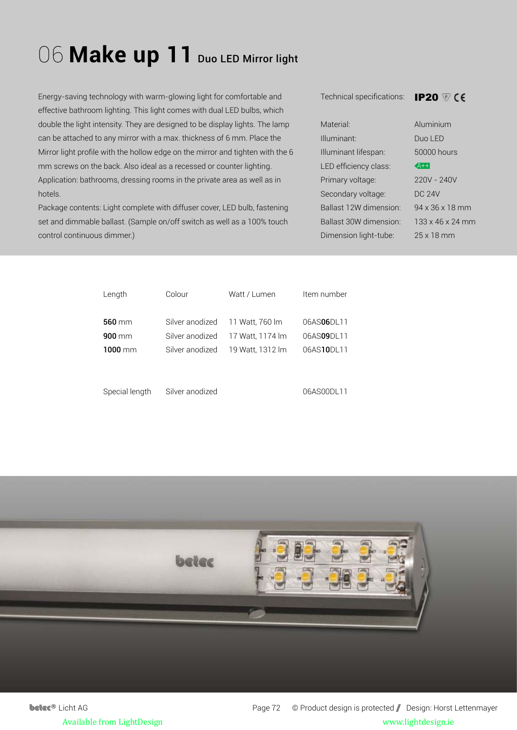## 06 Make up 11 Duo LED Mirror light

Energy-saving technology with warm-glowing light for comfortable and effective bathroom lighting. This light comes with dual LED bulbs, which double the light intensity. They are designed to be display lights. The lamp can be attached to any mirror with a max. thickness of 6 mm. Place the Mirror light profile with the hollow edge on the mirror and tighten with the 6 mm screws on the back. Also ideal as a recessed or counter lighting. Application: bathrooms, dressing rooms in the private area as well as in hotels.

Package contents: Light complete with diffuser cover, LED bulb, fastening set and dimmable ballast. (Sample on/off switch as well as a 100% touch control continuous dimmer.)

Technical specifications:

**IP20**  $\heartsuit$  CE

| Material <sup>.</sup>  | Aluminium                    |
|------------------------|------------------------------|
| Illuminant:            | Duo LED                      |
| Illuminant lifespan:   | 50000 hours                  |
| LED efficiency class:  | $A++$                        |
| Primary voltage:       | 220V - 240V                  |
| Secondary voltage:     | DC 24V                       |
| Ballast 12W dimension: | 94 x 36 x 18 mm              |
| Ballast 30W dimension: | $133 \times 46 \times 24$ mm |
| Dimension light-tube:  | 25 x 18 mm                   |

| Length           | Colour          | Watt / Lumen                     | Item number |
|------------------|-----------------|----------------------------------|-------------|
| $560$ mm         |                 | Silver anodized 11 Watt, 760 lm  | 06AS06DL11  |
| $900 \text{ mm}$ | Silver anodized | 17 Watt, 1174 lm                 | 06AS09DL11  |
| $1000$ mm        |                 | Silver anodized 19 Watt, 1312 lm | 06AS10DL11  |
|                  |                 |                                  |             |
|                  |                 |                                  |             |



Silver anodized

06AS00DL11



**betec<sup>®</sup>** Licht AG Page 72 © Product design is protected / Design: Horst Lettenmayer Available from LightDesign www.lightdesign.ie